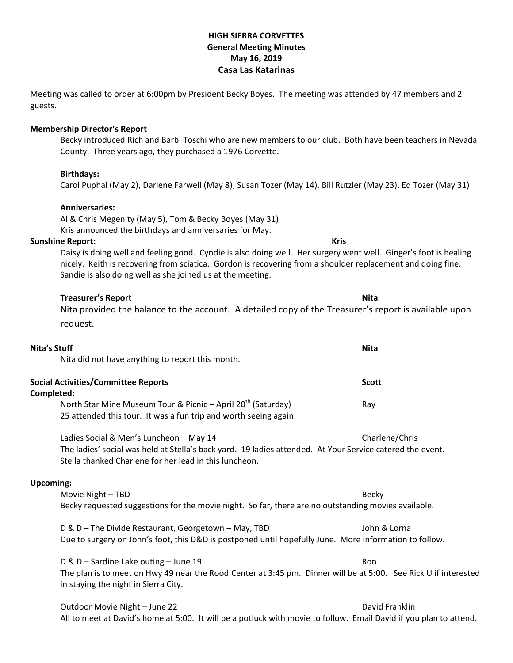# **HIGH SIERRA CORVETTES General Meeting Minutes May 16, 2019 Casa Las Katarinas**

Meeting was called to order at 6:00pm by President Becky Boyes. The meeting was attended by 47 members and 2 guests.

# **Membership Director's Report**

Becky introduced Rich and Barbi Toschi who are new members to our club. Both have been teachers in Nevada County. Three years ago, they purchased a 1976 Corvette.

# **Birthdays:**

Carol Puphal (May 2), Darlene Farwell (May 8), Susan Tozer (May 14), Bill Rutzler (May 23), Ed Tozer (May 31)

# **Anniversaries:**

Al & Chris Megenity (May 5), Tom & Becky Boyes (May 31) Kris announced the birthdays and anniversaries for May.

### **Sunshine Report: Kris**

Daisy is doing well and feeling good. Cyndie is also doing well. Her surgery went well. Ginger's foot is healing nicely. Keith is recovering from sciatica. Gordon is recovering from a shoulder replacement and doing fine. Sandie is also doing well as she joined us at the meeting.

# **Treasurer's Report Nita**

Nita provided the balance to the account. A detailed copy of the Treasurer's report is available upon request.

# **Nita's Stuff Nita**

Nita did not have anything to report this month.

| <b>Social Activities/Committee Reports</b>                                 | <b>Scott</b> |
|----------------------------------------------------------------------------|--------------|
| Completed:                                                                 |              |
| North Star Mine Museum Tour & Picnic $-$ April 20 <sup>th</sup> (Saturday) | Rav          |
| 25 attended this tour. It was a fun trip and worth seeing again.           |              |

Ladies Social & Men's Luncheon – May 14 Charlene/Chris Charlene/Chris The ladies' social was held at Stella's back yard. 19 ladies attended. At Your Service catered the event. Stella thanked Charlene for her lead in this luncheon.

#### **Upcoming:**

Movie Night – TBD Becky Becky requested suggestions for the movie night. So far, there are no outstanding movies available. D & D – The Divide Restaurant, Georgetown – May, TBD  $\blacksquare$  John & Lorna Due to surgery on John's foot, this D&D is postponed until hopefully June. More information to follow.

D & D – Sardine Lake outing – June 19 Ron The plan is to meet on Hwy 49 near the Rood Center at 3:45 pm. Dinner will be at 5:00. See Rick U if interested in staying the night in Sierra City.

Outdoor Movie Night – June 22 David Franklin All to meet at David's home at 5:00. It will be a potluck with movie to follow. Email David if you plan to attend.